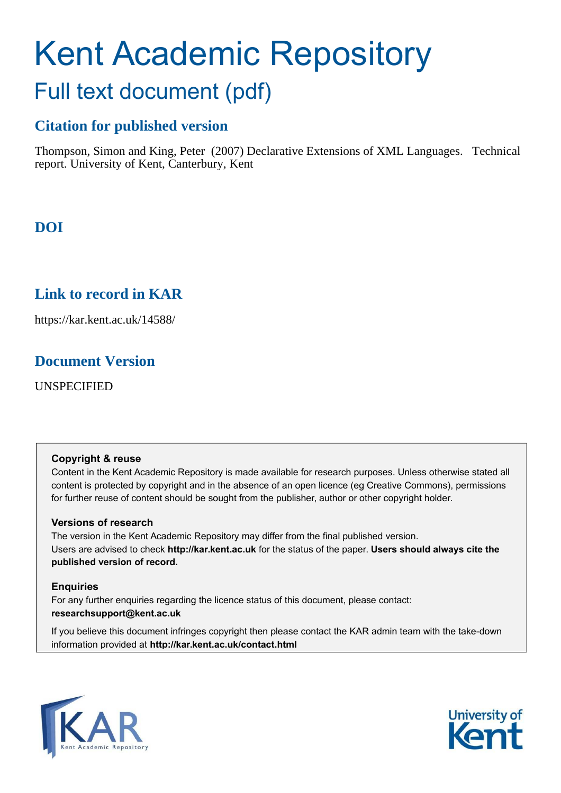# Kent Academic Repository Full text document (pdf)

# **Citation for published version**

Thompson, Simon and King, Peter (2007) Declarative Extensions of XML Languages. Technical report. University of Kent, Canterbury, Kent

# **DOI**

# **Link to record in KAR**

https://kar.kent.ac.uk/14588/

## **Document Version**

UNSPECIFIED

#### **Copyright & reuse**

Content in the Kent Academic Repository is made available for research purposes. Unless otherwise stated all content is protected by copyright and in the absence of an open licence (eg Creative Commons), permissions for further reuse of content should be sought from the publisher, author or other copyright holder.

### **Versions of research**

The version in the Kent Academic Repository may differ from the final published version. Users are advised to check **http://kar.kent.ac.uk** for the status of the paper. **Users should always cite the published version of record.**

#### **Enquiries**

For any further enquiries regarding the licence status of this document, please contact: **researchsupport@kent.ac.uk**

If you believe this document infringes copyright then please contact the KAR admin team with the take-down information provided at **http://kar.kent.ac.uk/contact.html**



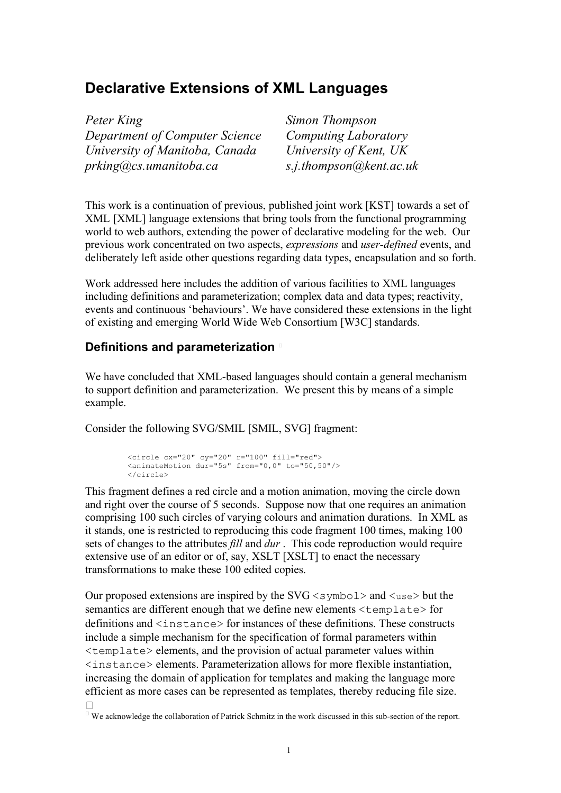## **Declarative Extensions of XML Languages**

| Peter King             |                                |
|------------------------|--------------------------------|
|                        | Department of Computer Science |
|                        | University of Manitoba, Canada |
| prking@cs.umanitoba.ca |                                |

*Simon Thompson Department of Computer Science Computing Laboratory University of Kent, UK prking@cs.umanitoba.ca s.j.thompson@kent.ac.uk*

This work is a continuation of previous, published joint work [KST] towards a set of XML [XML] language extensions that bring tools from the functional programming world to web authors, extending the power of declarative modeling for the web. Our previous work concentrated on two aspects, *expressions* and *user-defined* events, and deliberately left aside other questions regarding data types, encapsulation and so forth.

Work addressed here includes the addition of various facilities to XML languages including definitions and parameterization; complex data and data types; reactivity, events and continuous 'behaviours'. We have considered these extensions in the light of existing and emerging World Wide Web Consortium [W3C] standards.

## **Definitions and parameterization**

We have concluded that XML-based languages should contain a general mechanism to support definition and parameterization. We present this by means of a simple example.

Consider the following SVG/SMIL [SMIL, SVG] fragment:

```
<circle cx="20" cy="20" r="100" fill="red">
<animateMotion dur="5s" from="0,0" to="50,50"/>
</circle>
```
This fragment defines a red circle and a motion animation, moving the circle down and right over the course of 5 seconds. Suppose now that one requires an animation comprising 100 such circles of varying colours and animation durations. In XML as it stands, one is restricted to reproducing this code fragment 100 times, making 100 sets of changes to the attributes *fill* and *dur* . This code reproduction would require extensive use of an editor or of, say, XSLT [XSLT] to enact the necessary transformations to make these 100 edited copies.

Our proposed extensions are inspired by the  $SVG \leq$  ymbol > and  $\leq$ use > but the semantics are different enough that we define new elements <template> for definitions and  $\langle$  instance> for instances of these definitions. These constructs include a simple mechanism for the specification of formal parameters within  $\leq$ template> elements, and the provision of actual parameter values within <instance> elements. Parameterization allows for more flexible instantiation, increasing the domain of application for templates and making the language more efficient as more cases can be represented as templates, thereby reducing file size.

We acknowledge the collaboration of Patrick Schmitz in the work discussed in this sub-section of the report.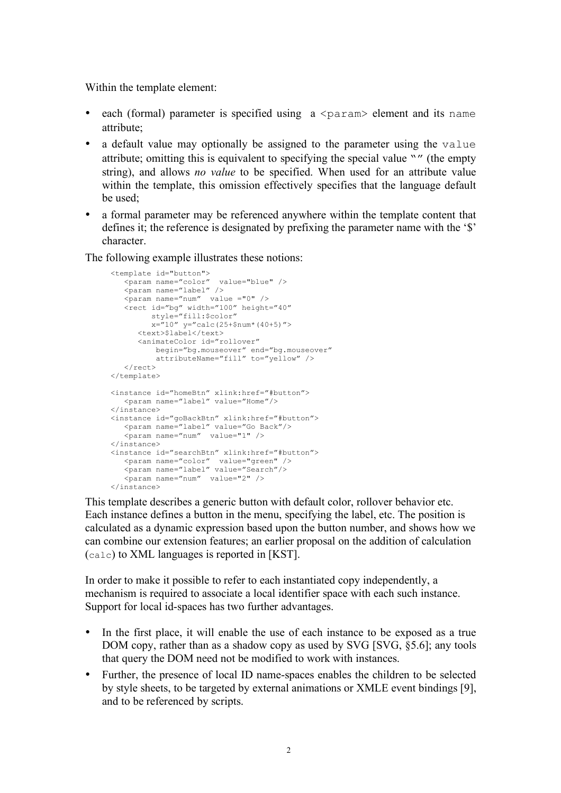Within the template element:

- each (formal) parameter is specified using  $a \leq$  param> element and its name attribute;
- a default value may optionally be assigned to the parameter using the value attribute; omitting this is equivalent to specifying the special value "" (the empty string), and allows *no value* to be specified. When used for an attribute value within the template, this omission effectively specifies that the language default be used;
- a formal parameter may be referenced anywhere within the template content that defines it; the reference is designated by prefixing the parameter name with the '\$' character.

The following example illustrates these notions:

```
<template id="button">
    <param name="color" value="blue" />
   \frac{1}{2} <param name="label" />
   \frac{1}{2} <param name="num" value ="0" />
    <rect id="bg" width="100" height="40" 
         style="fill:$color" 
         x = 0" y="calc(25+$num*(40+5)">
      <text>$label</text>
       <animateColor id="rollover" 
 begin="bg.mouseover" end="bg.mouseover"
 attributeName="fill" to="yellow" />
   \langle/rect\rangle</template>
<instance id="homeBtn" xlink:href="#button">
 <param name="label" value="Home"/>
</instance>
<instance id="goBackBtn" xlink:href="#button">
    <param name="label" value="Go Back"/>
   \frac{1}{2} <param name="num" value="1" />
</instance>
<instance id="searchBtn" xlink:href="#button">
 <param name="color" value="green" />
 <param name="label" value="Search"/>
    <param name="num" value="2" />
</instance>
```
This template describes a generic button with default color, rollover behavior etc. Each instance defines a button in the menu, specifying the label, etc. The position is calculated as a dynamic expression based upon the button number, and shows how we can combine our extension features; an earlier proposal on the addition of calculation (calc) to XML languages is reported in [KST].

In order to make it possible to refer to each instantiated copy independently, a mechanism is required to associate a local identifier space with each such instance. Support for local id-spaces has two further advantages.

- In the first place, it will enable the use of each instance to be exposed as a true DOM copy, rather than as a shadow copy as used by SVG [SVG, §5.6]; any tools that query the DOM need not be modified to work with instances.
- Further, the presence of local ID name-spaces enables the children to be selected by style sheets, to be targeted by external animations or XMLE event bindings [9], and to be referenced by scripts.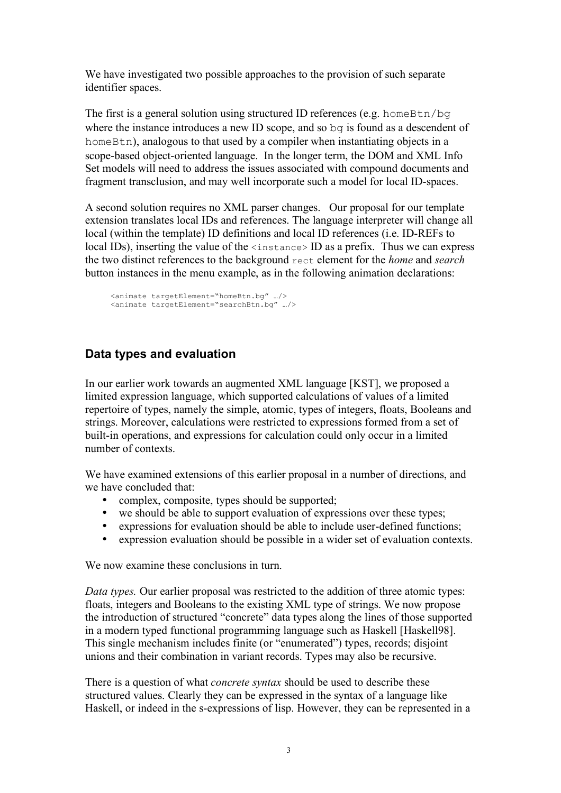We have investigated two possible approaches to the provision of such separate identifier spaces.

The first is a general solution using structured ID references (e.g. homeBtn/bq where the instance introduces a new ID scope, and so bg is found as a descendent of homeBtn), analogous to that used by a compiler when instantiating objects in a scope-based object-oriented language. In the longer term, the DOM and XML Info Set models will need to address the issues associated with compound documents and fragment transclusion, and may well incorporate such a model for local ID-spaces.

A second solution requires no XML parser changes. Our proposal for our template extension translates local IDs and references. The language interpreter will change all local (within the template) ID definitions and local ID references (i.e. ID-REFs to local IDs), inserting the value of the  $\langle$ instance> ID as a prefix. Thus we can express the two distinct references to the background rect element for the *home* and *search*  button instances in the menu example, as in the following animation declarations:

<animate targetElement="homeBtn.bg" …/> <animate targetElement="searchBtn.bg" …/>

## **Data types and evaluation**

In our earlier work towards an augmented XML language [KST], we proposed a limited expression language, which supported calculations of values of a limited repertoire of types, namely the simple, atomic, types of integers, floats, Booleans and strings. Moreover, calculations were restricted to expressions formed from a set of built-in operations, and expressions for calculation could only occur in a limited number of contexts.

We have examined extensions of this earlier proposal in a number of directions, and we have concluded that:

- complex, composite, types should be supported;
- we should be able to support evaluation of expressions over these types;
- expressions for evaluation should be able to include user-defined functions;
- expression evaluation should be possible in a wider set of evaluation contexts.

We now examine these conclusions in turn.

*Data types.* Our earlier proposal was restricted to the addition of three atomic types: floats, integers and Booleans to the existing XML type of strings. We now propose the introduction of structured "concrete" data types along the lines of those supported in a modern typed functional programming language such as Haskell [Haskell98]. This single mechanism includes finite (or "enumerated") types, records; disjoint unions and their combination in variant records. Types may also be recursive.

There is a question of what *concrete syntax* should be used to describe these structured values. Clearly they can be expressed in the syntax of a language like Haskell, or indeed in the s-expressions of lisp. However, they can be represented in a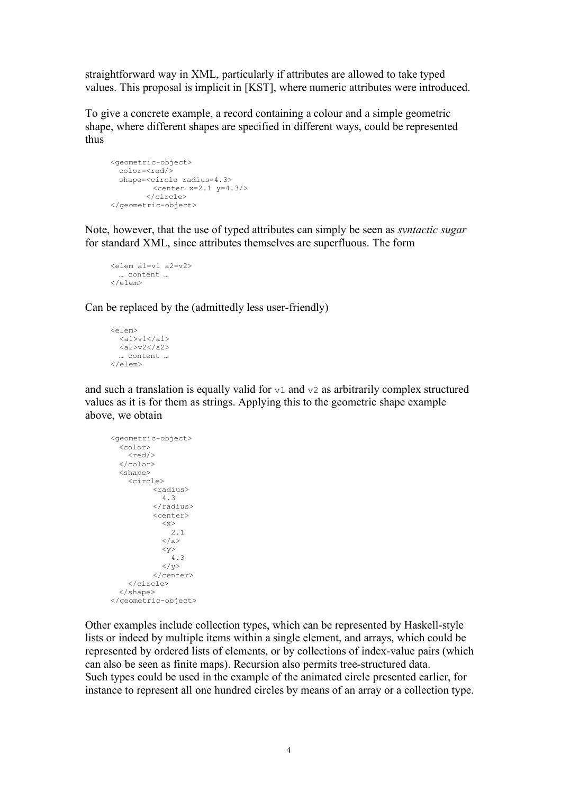straightforward way in XML, particularly if attributes are allowed to take typed values. This proposal is implicit in [KST], where numeric attributes were introduced.

To give a concrete example, a record containing a colour and a simple geometric shape, where different shapes are specified in different ways, could be represented thus

```
<geometric-object> 
 color=<red/>
 shape=<circle radius=4.3>
        <center x=2.1 y=4.3/>
        </circle>
</geometric-object>
```
Note, however, that the use of typed attributes can simply be seen as *syntactic sugar*  for standard XML, since attributes themselves are superfluous. The form

```
<elem a1=v1 a2=v2>
 … content …
</elem>
```
Can be replaced by the (admittedly less user-friendly)

```
<elem> 
   \langle a1 \ranglev1\langle a1 \rangle <a2>v2</a2>
  … content …
</elem>
```
and such a translation is equally valid for  $v_1$  and  $v_2$  as arbitrarily complex structured values as it is for them as strings. Applying this to the geometric shape example above, we obtain

```
<geometric-object> 
 <color>
    <red/>
  </color>
 <shape>
     <circle> 
           <radius>
              4.3
           </radius>
           <center>
             <x> 2.1
             \langle x \rangle\langle y \rangle 4.3
             \langle/y>
           </center>
     </circle>
  </shape>
</geometric-object>
```
Other examples include collection types, which can be represented by Haskell-style lists or indeed by multiple items within a single element, and arrays, which could be represented by ordered lists of elements, or by collections of index-value pairs (which can also be seen as finite maps). Recursion also permits tree-structured data. Such types could be used in the example of the animated circle presented earlier, for instance to represent all one hundred circles by means of an array or a collection type.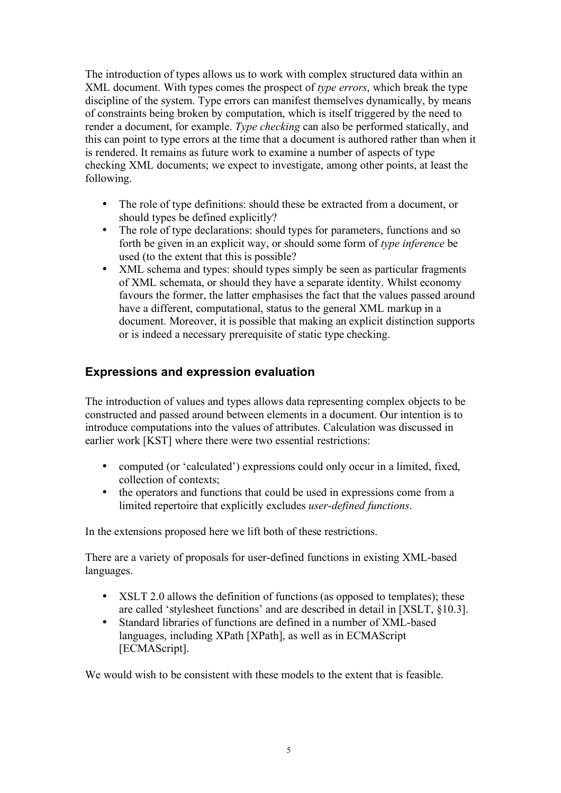The introduction of types allows us to work with complex structured data within an XML document. With types comes the prospect of *type errors*, which break the type discipline of the system. Type errors can manifest themselves dynamically, by means of constraints being broken by computation, which is itself triggered by the need to render a document, for example. *Type checking* can also be performed statically, and this can point to type errors at the time that a document is authored rather than when it is rendered. It remains as future work to examine a number of aspects of type checking XML documents; we expect to investigate, among other points, at least the following.

- The role of type definitions: should these be extracted from a document, or should types be defined explicitly?
- The role of type declarations: should types for parameters, functions and so forth be given in an explicit way, or should some form of *type inference* be used (to the extent that this is possible?
- XML schema and types: should types simply be seen as particular fragments of XML schemata, or should they have a separate identity. Whilst economy favours the former, the latter emphasises the fact that the values passed around have a different, computational, status to the general XML markup in a document. Moreover, it is possible that making an explicit distinction supports or is indeed a necessary prerequisite of static type checking.

## **Expressions and expression evaluation**

The introduction of values and types allows data representing complex objects to be constructed and passed around between elements in a document. Our intention is to introduce computations into the values of attributes. Calculation was discussed in earlier work [KST] where there were two essential restrictions:

- computed (or 'calculated') expressions could only occur in a limited, fixed, collection of contexts;
- the operators and functions that could be used in expressions come from a limited repertoire that explicitly excludes *user-defined functions*.

In the extensions proposed here we lift both of these restrictions.

There are a variety of proposals for user-defined functions in existing XML-based languages.

- XSLT 2.0 allows the definition of functions (as opposed to templates); these are called 'stylesheet functions' and are described in detail in [XSLT, §10.3].
- Standard libraries of functions are defined in a number of XML-based languages, including XPath [XPath], as well as in ECMAScript [ECMAScript].

We would wish to be consistent with these models to the extent that is feasible.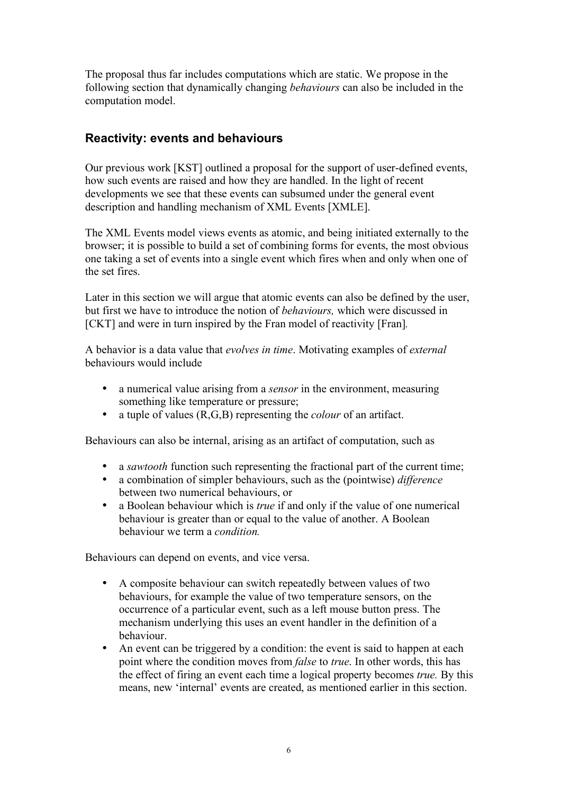The proposal thus far includes computations which are static. We propose in the following section that dynamically changing *behaviours* can also be included in the computation model.

## **Reactivity: events and behaviours**

Our previous work [KST] outlined a proposal for the support of user-defined events, how such events are raised and how they are handled. In the light of recent developments we see that these events can subsumed under the general event description and handling mechanism of XML Events [XMLE].

The XML Events model views events as atomic, and being initiated externally to the browser; it is possible to build a set of combining forms for events, the most obvious one taking a set of events into a single event which fires when and only when one of the set fires.

Later in this section we will argue that atomic events can also be defined by the user, but first we have to introduce the notion of *behaviours,* which were discussed in [CKT] and were in turn inspired by the Fran model of reactivity [Fran]*.*

A behavior is a data value that *evolves in time*. Motivating examples of *external* behaviours would include

- a numerical value arising from a *sensor* in the environment, measuring something like temperature or pressure;
- $\bullet$  a tuple of values  $(R, G, B)$  representing the *colour* of an artifact.

Behaviours can also be internal, arising as an artifact of computation, such as

- a *sawtooth* function such representing the fractional part of the current time;
- a combination of simpler behaviours, such as the (pointwise) *difference* between two numerical behaviours, or
- a Boolean behaviour which is *true* if and only if the value of one numerical behaviour is greater than or equal to the value of another. A Boolean behaviour we term a *condition.*

Behaviours can depend on events, and vice versa.

- A composite behaviour can switch repeatedly between values of two behaviours, for example the value of two temperature sensors, on the occurrence of a particular event, such as a left mouse button press. The mechanism underlying this uses an event handler in the definition of a behaviour.
- An event can be triggered by a condition: the event is said to happen at each point where the condition moves from *false* to *true*. In other words, this has the effect of firing an event each time a logical property becomes *true.* By this means, new 'internal' events are created, as mentioned earlier in this section.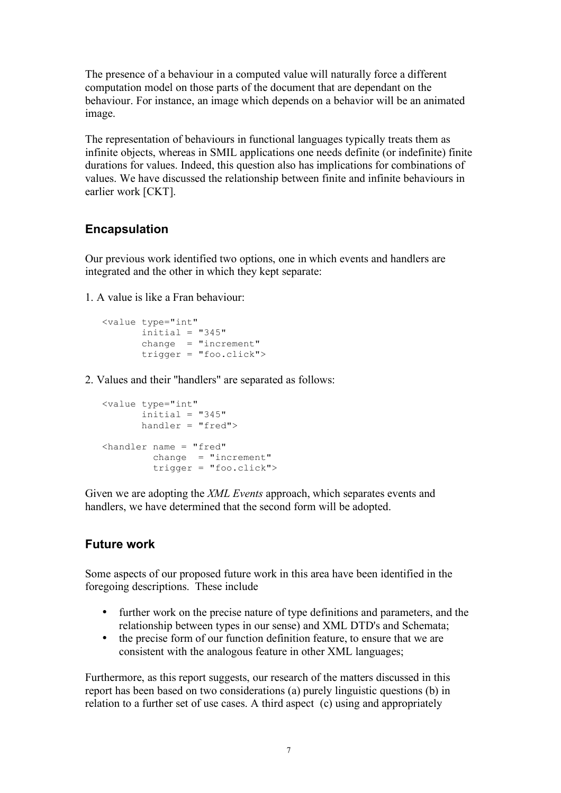The presence of a behaviour in a computed value will naturally force a different computation model on those parts of the document that are dependant on the behaviour. For instance, an image which depends on a behavior will be an animated image.

The representation of behaviours in functional languages typically treats them as infinite objects, whereas in SMIL applications one needs definite (or indefinite) finite durations for values. Indeed, this question also has implications for combinations of values. We have discussed the relationship between finite and infinite behaviours in earlier work [CKT].

## **Encapsulation**

Our previous work identified two options, one in which events and handlers are integrated and the other in which they kept separate:

1. A value is like a Fran behaviour:

```
<value type="int"
      initial = "345" change = "increment"
        trigger = "foo.click">
```
2. Values and their "handlers" are separated as follows:

```
<value type="int"
      initial = "345" handler = "fred">
<handler name = "fred"
        change = "increment" trigger = "foo.click">
```
Given we are adopting the *XML Events* approach, which separates events and handlers, we have determined that the second form will be adopted.

## **Future work**

Some aspects of our proposed future work in this area have been identified in the foregoing descriptions. These include

- further work on the precise nature of type definitions and parameters, and the relationship between types in our sense) and XML DTD's and Schemata;
- the precise form of our function definition feature, to ensure that we are consistent with the analogous feature in other XML languages;

Furthermore, as this report suggests, our research of the matters discussed in this report has been based on two considerations (a) purely linguistic questions (b) in relation to a further set of use cases. A third aspect (c) using and appropriately